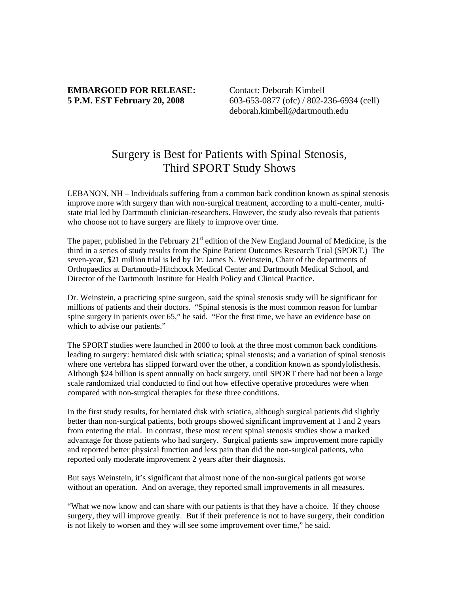## **EMBARGOED FOR RELEASE:** Contact: Deborah Kimbell

**5 P.M. EST February 20, 2008** 603-653-0877 (ofc) / 802-236-6934 (cell) deborah.kimbell@dartmouth.edu

## Surgery is Best for Patients with Spinal Stenosis, Third SPORT Study Shows

LEBANON, NH – Individuals suffering from a common back condition known as spinal stenosis improve more with surgery than with non-surgical treatment, according to a multi-center, multistate trial led by Dartmouth clinician-researchers. However, the study also reveals that patients who choose not to have surgery are likely to improve over time.

The paper, published in the February  $21<sup>st</sup>$  edition of the New England Journal of Medicine, is the third in a series of study results from the Spine Patient Outcomes Research Trial (SPORT.) The seven-year, \$21 million trial is led by Dr. James N. Weinstein, Chair of the departments of Orthopaedics at Dartmouth-Hitchcock Medical Center and Dartmouth Medical School, and Director of the Dartmouth Institute for Health Policy and Clinical Practice.

Dr. Weinstein, a practicing spine surgeon, said the spinal stenosis study will be significant for millions of patients and their doctors. "Spinal stenosis is the most common reason for lumbar spine surgery in patients over 65," he said. "For the first time, we have an evidence base on which to advise our patients."

The SPORT studies were launched in 2000 to look at the three most common back conditions leading to surgery: herniated disk with sciatica; spinal stenosis; and a variation of spinal stenosis where one vertebra has slipped forward over the other, a condition known as spondylolisthesis. Although \$24 billion is spent annually on back surgery, until SPORT there had not been a large scale randomized trial conducted to find out how effective operative procedures were when compared with non-surgical therapies for these three conditions.

In the first study results, for herniated disk with sciatica, although surgical patients did slightly better than non-surgical patients, both groups showed significant improvement at 1 and 2 years from entering the trial. In contrast, these most recent spinal stenosis studies show a marked advantage for those patients who had surgery. Surgical patients saw improvement more rapidly and reported better physical function and less pain than did the non-surgical patients, who reported only moderate improvement 2 years after their diagnosis.

But says Weinstein, it's significant that almost none of the non-surgical patients got worse without an operation. And on average, they reported small improvements in all measures.

"What we now know and can share with our patients is that they have a choice. If they choose surgery, they will improve greatly. But if their preference is not to have surgery, their condition is not likely to worsen and they will see some improvement over time," he said.